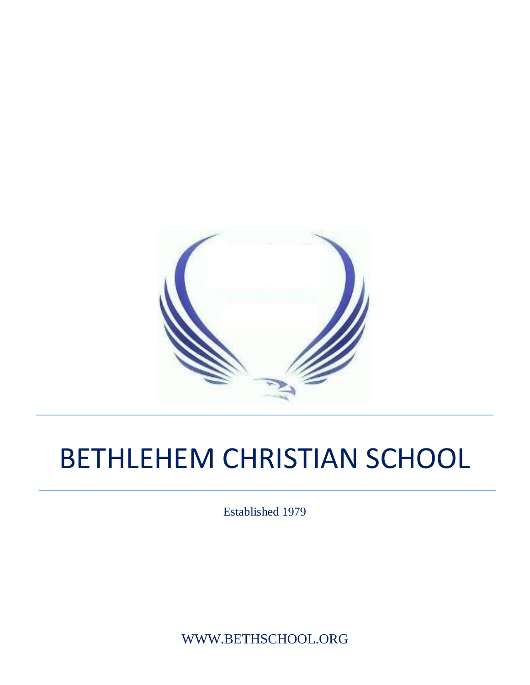

# BETHLEHEM CHRISTIAN SCHOOL

Established 1979

WWW.BETHSCHOOL.ORG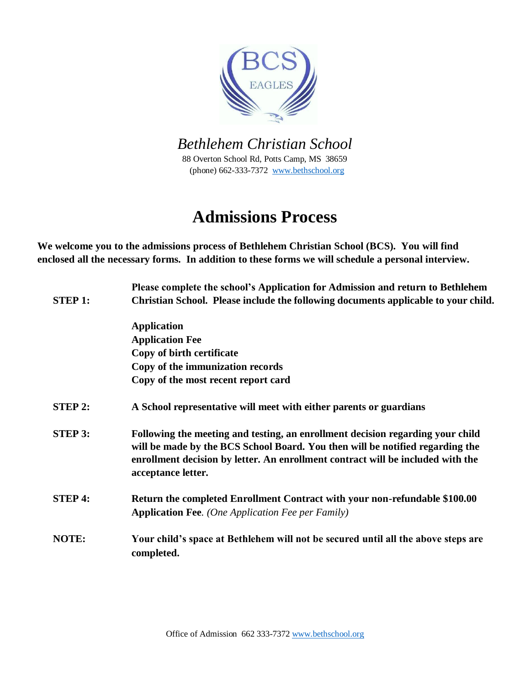

*Bethlehem Christian School* 

88 Overton School Rd, Potts Camp, MS 38659 (phone) 662-333-7372 www.bethschool.org

## **Admissions Process**

**We welcome you to the admissions process of Bethlehem Christian School (BCS). You will find enclosed all the necessary forms. In addition to these forms we will schedule a personal interview.** 

| <b>Application</b><br><b>Application Fee</b><br>Copy of birth certificate<br>Copy of the immunization records                                                                                                                                                                              | Please complete the school's Application for Admission and return to Bethlehem<br>Christian School. Please include the following documents applicable to your child. |  |  |  |
|--------------------------------------------------------------------------------------------------------------------------------------------------------------------------------------------------------------------------------------------------------------------------------------------|----------------------------------------------------------------------------------------------------------------------------------------------------------------------|--|--|--|
|                                                                                                                                                                                                                                                                                            |                                                                                                                                                                      |  |  |  |
|                                                                                                                                                                                                                                                                                            |                                                                                                                                                                      |  |  |  |
|                                                                                                                                                                                                                                                                                            |                                                                                                                                                                      |  |  |  |
|                                                                                                                                                                                                                                                                                            |                                                                                                                                                                      |  |  |  |
| Copy of the most recent report card                                                                                                                                                                                                                                                        |                                                                                                                                                                      |  |  |  |
| <b>STEP 2:</b><br>A School representative will meet with either parents or guardians                                                                                                                                                                                                       |                                                                                                                                                                      |  |  |  |
| <b>STEP 3:</b><br>Following the meeting and testing, an enrollment decision regarding your child<br>will be made by the BCS School Board. You then will be notified regarding the<br>enrollment decision by letter. An enrollment contract will be included with the<br>acceptance letter. |                                                                                                                                                                      |  |  |  |
| <b>STEP 4:</b><br>Return the completed Enrollment Contract with your non-refundable \$100.00<br><b>Application Fee.</b> (One Application Fee per Family)                                                                                                                                   |                                                                                                                                                                      |  |  |  |
| NOTE:<br>Your child's space at Bethlehem will not be secured until all the above steps are<br>completed.                                                                                                                                                                                   |                                                                                                                                                                      |  |  |  |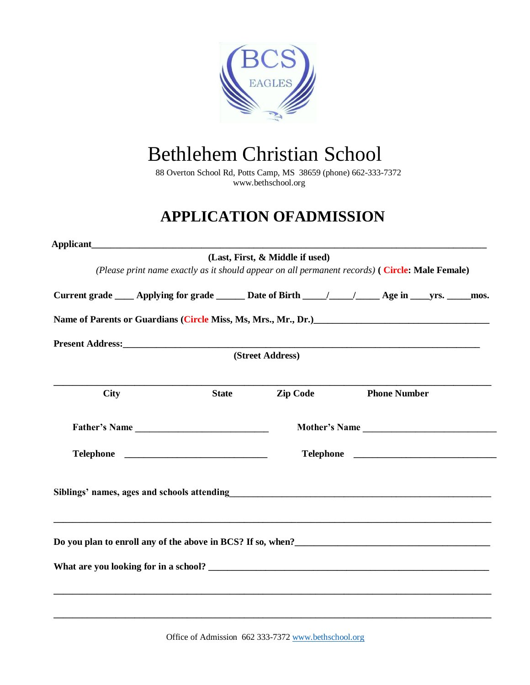

# Bethlehem Christian School

88 Overton School Rd, Potts Camp, MS 38659 (phone) 662-333-7372 www.bethschool.org

### **APPLICATION OFADMISSION**

|               |                                                                                                                                                                                                                                  | (Last, First, & Middle if used) |                     |  |                     |  |  |
|---------------|----------------------------------------------------------------------------------------------------------------------------------------------------------------------------------------------------------------------------------|---------------------------------|---------------------|--|---------------------|--|--|
|               | (Please print name exactly as it should appear on all permanent records) (Circle: Male Female)                                                                                                                                   |                                 |                     |  |                     |  |  |
|               | Current grade ______ Applying for grade _________ Date of Birth _____/ _________ Age in _____ yrs. ______ mos.                                                                                                                   |                                 |                     |  |                     |  |  |
|               | Name of Parents or Guardians (Circle Miss, Ms, Mrs., Mr., Dr.)<br>1990 - Marie London, Mrs. (2003)                                                                                                                               |                                 |                     |  |                     |  |  |
|               |                                                                                                                                                                                                                                  |                                 |                     |  |                     |  |  |
|               |                                                                                                                                                                                                                                  | (Street Address)                |                     |  |                     |  |  |
| <b>City</b>   | <b>State</b>                                                                                                                                                                                                                     | <b>Zip Code</b>                 |                     |  | <b>Phone Number</b> |  |  |
| Father's Name |                                                                                                                                                                                                                                  | Mother's Name                   |                     |  |                     |  |  |
|               |                                                                                                                                                                                                                                  |                                 | Telephone Telephone |  |                     |  |  |
|               | Siblings' names, ages and schools attending<br>and the manufacture of the manufacture of the manufacture of the state of the state of the state of the state of the state of the state of the state of the state of the state of |                                 |                     |  |                     |  |  |
|               | Do you plan to enroll any of the above in BCS? If so, when?<br><u>Letting</u> the state of the solution of the above in BCS? If so, when?<br><u>Letting</u> the state of the state of the above in BCS? If so, when?<br>         |                                 |                     |  |                     |  |  |
|               |                                                                                                                                                                                                                                  |                                 |                     |  |                     |  |  |
|               |                                                                                                                                                                                                                                  |                                 |                     |  |                     |  |  |
|               |                                                                                                                                                                                                                                  |                                 |                     |  |                     |  |  |
|               |                                                                                                                                                                                                                                  |                                 |                     |  |                     |  |  |

Office of Admission 662 333-7372 www.bethschool.org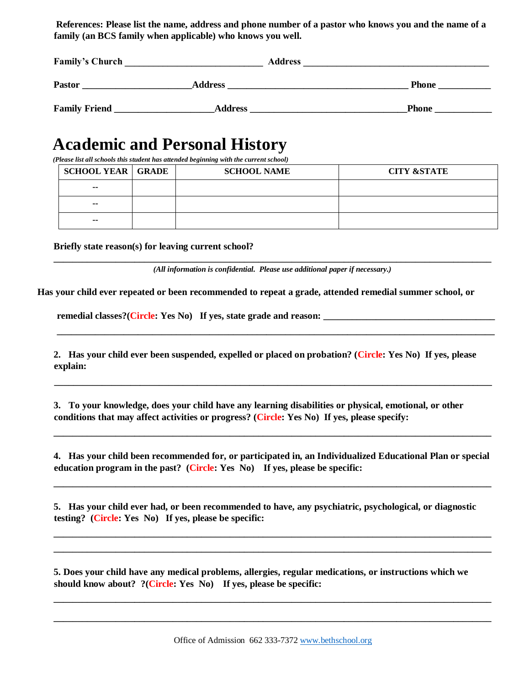**References: Please list the name, address and phone number of a pastor who knows you and the name of a family (an BCS family when applicable) who knows you well.** 

| <b>Family's Church</b> | <b>Address</b> |              |
|------------------------|----------------|--------------|
| <b>Pastor</b>          | <b>Address</b> | <b>Phone</b> |
| <b>Family Friend</b>   | <b>Address</b> | <b>Phone</b> |

### **Academic and Personal History**

*(Please list all schools this student has attended beginning with the current school)* 

| <b>SCHOOL YEAR GRADE</b> | <b>SCHOOL NAME</b> | <b>CITY &amp;STATE</b> |
|--------------------------|--------------------|------------------------|
| $\overline{\phantom{a}}$ |                    |                        |
| $- -$                    |                    |                        |
| $- -$                    |                    |                        |

**Briefly state reason(s) for leaving current school?** 

**\_\_\_\_\_\_\_\_\_\_\_\_\_\_\_\_\_\_\_\_\_\_\_\_\_\_\_\_\_\_\_\_\_\_\_\_\_\_\_\_\_\_\_\_\_\_\_\_\_\_\_\_\_\_\_\_\_\_\_\_\_\_\_\_\_\_\_\_\_\_\_\_\_\_\_\_\_\_\_\_\_\_\_\_\_\_\_\_\_\_\_\_**  *(All information is confidential. Please use additional paper if necessary.)* 

**Has your child ever repeated or been recommended to repeat a grade, attended remedial summer school, or** 

**remedial classes?(Circle: Yes No) If yes, state grade and reason: \_\_\_\_\_\_\_\_\_\_\_\_\_\_\_\_\_\_\_\_\_\_\_\_\_\_\_\_\_\_\_\_\_\_\_\_**

**2. Has your child ever been suspended, expelled or placed on probation? (Circle: Yes No) If yes, please explain:** 

**\_\_\_\_\_\_\_\_\_\_\_\_\_\_\_\_\_\_\_\_\_\_\_\_\_\_\_\_\_\_\_\_\_\_\_\_\_\_\_\_\_\_\_\_\_\_\_\_\_\_\_\_\_\_\_\_\_\_\_\_\_\_\_\_\_\_\_\_\_\_\_\_\_\_\_\_\_\_\_\_\_\_\_\_\_\_\_\_\_\_\_\_** 

**\_\_\_\_\_\_\_\_\_\_\_\_\_\_\_\_\_\_\_\_\_\_\_\_\_\_\_\_\_\_\_\_\_\_\_\_\_\_\_\_\_\_\_\_\_\_\_\_\_\_\_\_\_\_\_\_\_\_\_\_\_\_\_\_\_\_\_\_\_\_\_\_\_\_\_\_\_\_\_\_\_\_\_\_\_\_\_\_\_\_\_\_** 

**3. To your knowledge, does your child have any learning disabilities or physical, emotional, or other conditions that may affect activities or progress? (Circle: Yes No) If yes, please specify:** 

**4. Has your child been recommended for, or participated in, an Individualized Educational Plan or special education program in the past? (Circle: Yes No) If yes, please be specific:** 

**\_\_\_\_\_\_\_\_\_\_\_\_\_\_\_\_\_\_\_\_\_\_\_\_\_\_\_\_\_\_\_\_\_\_\_\_\_\_\_\_\_\_\_\_\_\_\_\_\_\_\_\_\_\_\_\_\_\_\_\_\_\_\_\_\_\_\_\_\_\_\_\_\_\_\_\_\_\_\_\_\_\_\_\_\_\_\_\_\_\_\_\_** 

**\_\_\_\_\_\_\_\_\_\_\_\_\_\_\_\_\_\_\_\_\_\_\_\_\_\_\_\_\_\_\_\_\_\_\_\_\_\_\_\_\_\_\_\_\_\_\_\_\_\_\_\_\_\_\_\_\_\_\_\_\_\_\_\_\_\_\_\_\_\_\_\_\_\_\_\_\_\_\_\_\_\_\_\_\_\_\_\_\_\_\_\_** 

**\_\_\_\_\_\_\_\_\_\_\_\_\_\_\_\_\_\_\_\_\_\_\_\_\_\_\_\_\_\_\_\_\_\_\_\_\_\_\_\_\_\_\_\_\_\_\_\_\_\_\_\_\_\_\_\_\_\_\_\_\_\_\_\_\_\_\_\_\_\_\_\_\_\_\_\_\_\_\_\_\_\_\_\_\_\_\_\_\_\_\_\_** 

**\_\_\_\_\_\_\_\_\_\_\_\_\_\_\_\_\_\_\_\_\_\_\_\_\_\_\_\_\_\_\_\_\_\_\_\_\_\_\_\_\_\_\_\_\_\_\_\_\_\_\_\_\_\_\_\_\_\_\_\_\_\_\_\_\_\_\_\_\_\_\_\_\_\_\_\_\_\_\_\_\_\_\_\_\_\_\_\_\_\_\_\_** 

**\_\_\_\_\_\_\_\_\_\_\_\_\_\_\_\_\_\_\_\_\_\_\_\_\_\_\_\_\_\_\_\_\_\_\_\_\_\_\_\_\_\_\_\_\_\_\_\_\_\_\_\_\_\_\_\_\_\_\_\_\_\_\_\_\_\_\_\_\_\_\_\_\_\_\_\_\_\_\_\_\_\_\_\_\_\_\_\_\_\_\_\_**

**\_\_\_\_\_\_\_\_\_\_\_\_\_\_\_\_\_\_\_\_\_\_\_\_\_\_\_\_\_\_\_\_\_\_\_\_\_\_\_\_\_\_\_\_\_\_\_\_\_\_\_\_\_\_\_\_\_\_\_\_\_\_\_\_\_\_\_\_\_\_\_\_\_\_\_\_\_\_\_\_\_\_\_\_\_\_\_\_\_\_\_\_** 

**5. Has your child ever had, or been recommended to have, any psychiatric, psychological, or diagnostic testing? (Circle: Yes No) If yes, please be specific:** 

**5. Does your child have any medical problems, allergies, regular medications, or instructions which we should know about? ?(Circle: Yes No) If yes, please be specific:**